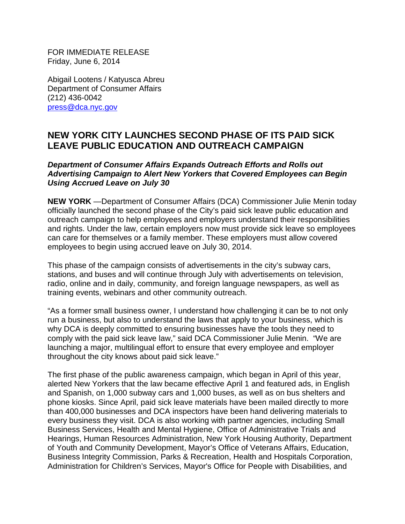FOR IMMEDIATE RELEASE Friday, June 6, 2014

Abigail Lootens / Katyusca Abreu Department of Consumer Affairs (212) 436-0042 [press@dca.nyc.gov](mailto:press@dca.nyc.gov)

# **NEW YORK CITY LAUNCHES SECOND PHASE OF ITS PAID SICK LEAVE PUBLIC EDUCATION AND OUTREACH CAMPAIGN**

#### *Department of Consumer Affairs Expands Outreach Efforts and Rolls out Advertising Campaign to Alert New Yorkers that Covered Employees can Begin Using Accrued Leave on July 30*

**NEW YORK** —Department of Consumer Affairs (DCA) Commissioner Julie Menin today officially launched the second phase of the City's paid sick leave public education and outreach campaign to help employees and employers understand their responsibilities and rights. Under the law, certain employers now must provide sick leave so employees can care for themselves or a family member. These employers must allow covered employees to begin using accrued leave on July 30, 2014.

This phase of the campaign consists of advertisements in the city's subway cars, stations, and buses and will continue through July with advertisements on television, radio, online and in daily, community, and foreign language newspapers, as well as training events, webinars and other community outreach.

"As a former small business owner, I understand how challenging it can be to not only run a business, but also to understand the laws that apply to your business, which is why DCA is deeply committed to ensuring businesses have the tools they need to comply with the paid sick leave law," said DCA Commissioner Julie Menin. "We are launching a major, multilingual effort to ensure that every employee and employer throughout the city knows about paid sick leave."

The first phase of the public awareness campaign, which began in April of this year, alerted New Yorkers that the law became effective April 1 and featured ads, in English and Spanish, on 1,000 subway cars and 1,000 buses, as well as on bus shelters and phone kiosks. Since April, paid sick leave materials have been mailed directly to more than 400,000 businesses and DCA inspectors have been hand delivering materials to every business they visit. DCA is also working with partner agencies, including Small Business Services, Health and Mental Hygiene, Office of Administrative Trials and Hearings, Human Resources Administration, New York Housing Authority, Department of Youth and Community Development, Mayor's Office of Veterans Affairs, Education, Business Integrity Commission, Parks & Recreation, Health and Hospitals Corporation, Administration for Children's Services, Mayor's Office for People with Disabilities, and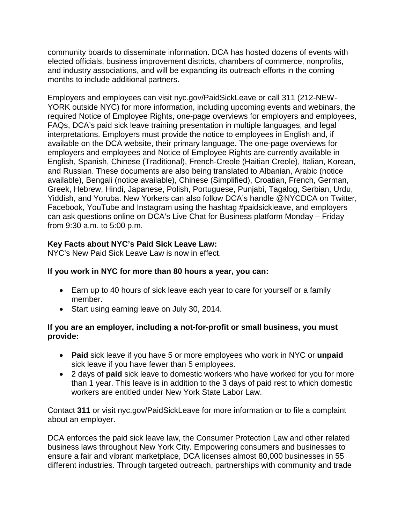community boards to disseminate information. DCA has hosted dozens of events with elected officials, business improvement districts, chambers of commerce, nonprofits, and industry associations, and will be expanding its outreach efforts in the coming months to include additional partners.

Employers and employees can visit nyc.gov/PaidSickLeave or call 311 (212-NEW-YORK outside NYC) for more information, including upcoming events and webinars, the required Notice of Employee Rights, one-page overviews for employers and employees, FAQs, DCA's paid sick leave training presentation in multiple languages, and legal interpretations. Employers must provide the notice to employees in English and, if available on the DCA website, their primary language. The one-page overviews for employers and employees and Notice of Employee Rights are currently available in English, Spanish, Chinese (Traditional), French-Creole (Haitian Creole), Italian, Korean, and Russian. These documents are also being translated to Albanian, Arabic (notice available), Bengali (notice available), Chinese (Simplified), Croatian, French, German, Greek, Hebrew, Hindi, Japanese, Polish, Portuguese, Punjabi, Tagalog, Serbian, Urdu, Yiddish, and Yoruba. New Yorkers can also follow DCA's handle @NYCDCA on Twitter, Facebook, YouTube and Instagram using the hashtag #paidsickleave, and employers can ask questions online on DCA's Live Chat for Business platform Monday – Friday from 9:30 a.m. to 5:00 p.m.

## **Key Facts about NYC's Paid Sick Leave Law:**

NYC's New Paid Sick Leave Law is now in effect.

## **If you work in NYC for more than 80 hours a year, you can:**

- Earn up to 40 hours of sick leave each year to care for yourself or a family member.
- Start using earning leave on July 30, 2014.

#### **If you are an employer, including a not-for-profit or small business, you must provide:**

- **Paid** sick leave if you have 5 or more employees who work in NYC or **unpaid** sick leave if you have fewer than 5 employees.
- 2 days of **paid** sick leave to domestic workers who have worked for you for more than 1 year. This leave is in addition to the 3 days of paid rest to which domestic workers are entitled under New York State Labor Law.

Contact **311** or visit nyc.gov/PaidSickLeave for more information or to file a complaint about an employer.

DCA enforces the paid sick leave law, the Consumer Protection Law and other related business laws throughout New York City. Empowering consumers and businesses to ensure a fair and vibrant marketplace, DCA licenses almost 80,000 businesses in 55 different industries. Through targeted outreach, partnerships with community and trade